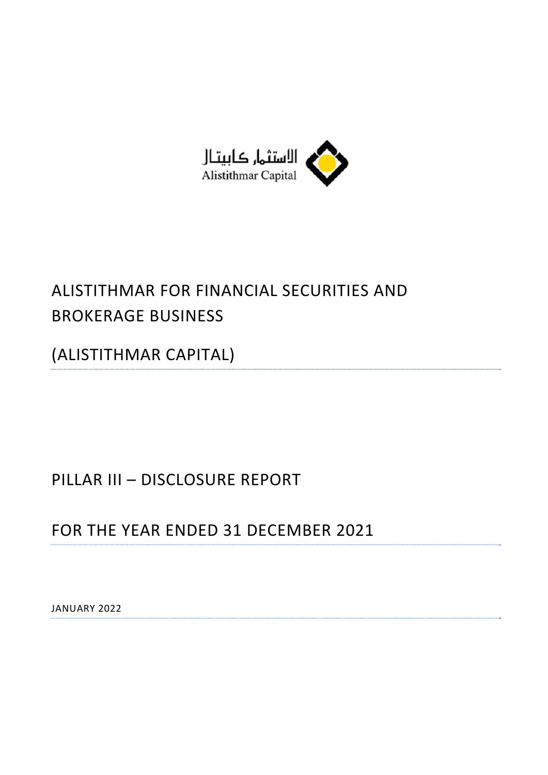

# ALISTITHMAR FOR FINANCIAL SECURITIES AND BROKERAGE BUSINESS

(ALISTITHMAR CAPITAL)

# PILLAR III – DISCLOSURE REPORT

# FOR THE YEAR ENDED 31 DECEMBER 2021

JANUARY 2022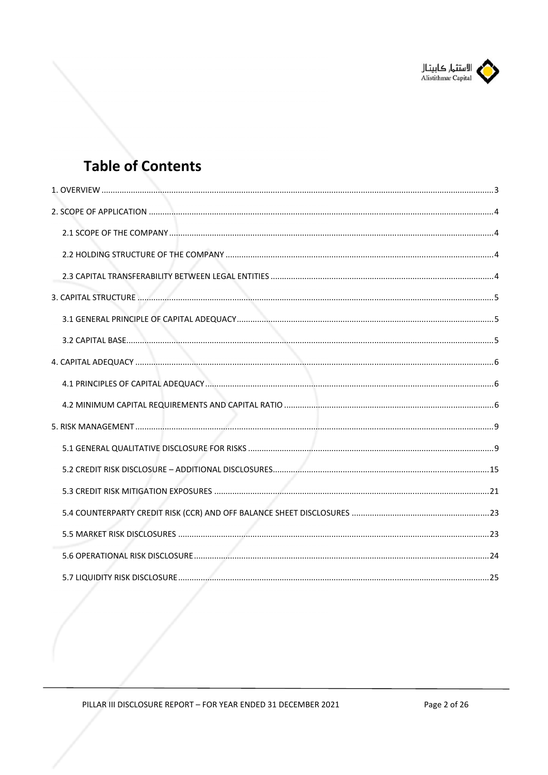

# **Table of Contents**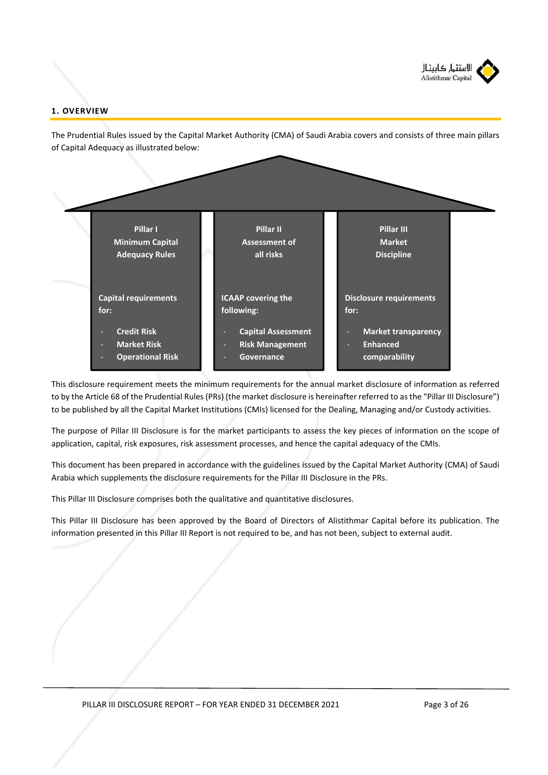

# **1. OVERVIEW**

The Prudential Rules issued by the Capital Market Authority (CMA) of Saudi Arabia covers and consists of three main pillars of Capital Adequacy as illustrated below:



This disclosure requirement meets the minimum requirements for the annual market disclosure of information as referred to by the Article 68 of the Prudential Rules (PRs) (the market disclosure is hereinafter referred to as the "Pillar III Disclosure") to be published by all the Capital Market Institutions (CMIs) licensed for the Dealing, Managing and/or Custody activities.

The purpose of Pillar III Disclosure is for the market participants to assess the key pieces of information on the scope of application, capital, risk exposures, risk assessment processes, and hence the capital adequacy of the CMIs.

This document has been prepared in accordance with the guidelines issued by the Capital Market Authority (CMA) of Saudi Arabia which supplements the disclosure requirements for the Pillar III Disclosure in the PRs.

This Pillar III Disclosure comprises both the qualitative and quantitative disclosures.

This Pillar III Disclosure has been approved by the Board of Directors of Alistithmar Capital before its publication. The information presented in this Pillar III Report is not required to be, and has not been, subject to external audit.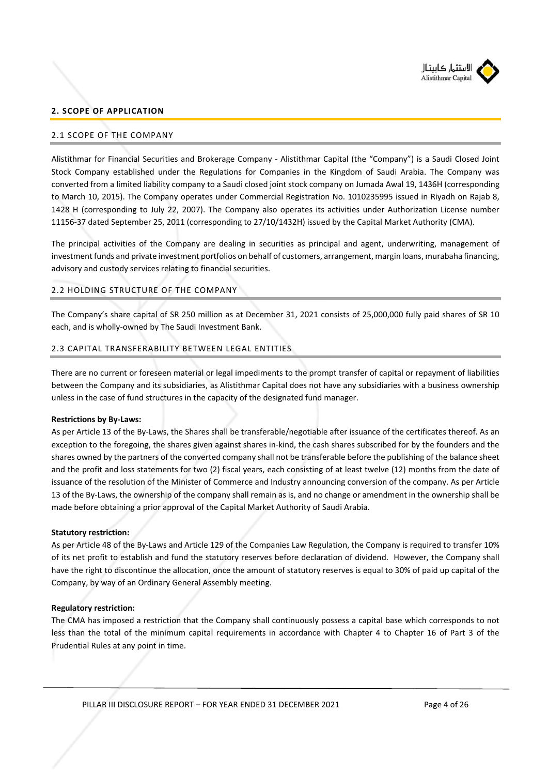

# **2. SCOPE OF APPLICATION**

## 2.1 SCOPE OF THE COMPANY

Alistithmar for Financial Securities and Brokerage Company ‐ Alistithmar Capital (the "Company") is a Saudi Closed Joint Stock Company established under the Regulations for Companies in the Kingdom of Saudi Arabia. The Company was converted from a limited liability company to a Saudi closed joint stock company on Jumada Awal 19, 1436H (corresponding to March 10, 2015). The Company operates under Commercial Registration No. 1010235995 issued in Riyadh on Rajab 8, 1428 H (corresponding to July 22, 2007). The Company also operates its activities under Authorization License number 11156‐37 dated September 25, 2011 (corresponding to 27/10/1432H) issued by the Capital Market Authority (CMA).

The principal activities of the Company are dealing in securities as principal and agent, underwriting, management of investment funds and private investment portfolios on behalf of customers, arrangement, margin loans, murabaha financing, advisory and custody services relating to financial securities.

# 2.2 HOLDING STRUCTURE OF THE COMPANY

The Company's share capital of SR 250 million as at December 31, 2021 consists of 25,000,000 fully paid shares of SR 10 each, and is wholly‐owned by The Saudi Investment Bank.

## 2.3 CAPITAL TRANSFERABILITY BETWEEN LEGAL ENTITIES

There are no current or foreseen material or legal impediments to the prompt transfer of capital or repayment of liabilities between the Company and its subsidiaries, as Alistithmar Capital does not have any subsidiaries with a business ownership unless in the case of fund structures in the capacity of the designated fund manager.

#### **Restrictions by By‐Laws:**

As per Article 13 of the By‐Laws, the Shares shall be transferable/negotiable after issuance of the certificates thereof. As an exception to the foregoing, the shares given against shares in-kind, the cash shares subscribed for by the founders and the shares owned by the partners of the converted company shall not be transferable before the publishing of the balance sheet and the profit and loss statements for two (2) fiscal years, each consisting of at least twelve (12) months from the date of issuance of the resolution of the Minister of Commerce and Industry announcing conversion of the company. As per Article 13 of the By‐Laws, the ownership of the company shall remain as is, and no change or amendment in the ownership shall be made before obtaining a prior approval of the Capital Market Authority of Saudi Arabia.

#### **Statutory restriction:**

As per Article 48 of the By‐Laws and Article 129 of the Companies Law Regulation, the Company is required to transfer 10% of its net profit to establish and fund the statutory reserves before declaration of dividend. However, the Company shall have the right to discontinue the allocation, once the amount of statutory reserves is equal to 30% of paid up capital of the Company, by way of an Ordinary General Assembly meeting.

#### **Regulatory restriction:**

The CMA has imposed a restriction that the Company shall continuously possess a capital base which corresponds to not less than the total of the minimum capital requirements in accordance with Chapter 4 to Chapter 16 of Part 3 of the Prudential Rules at any point in time.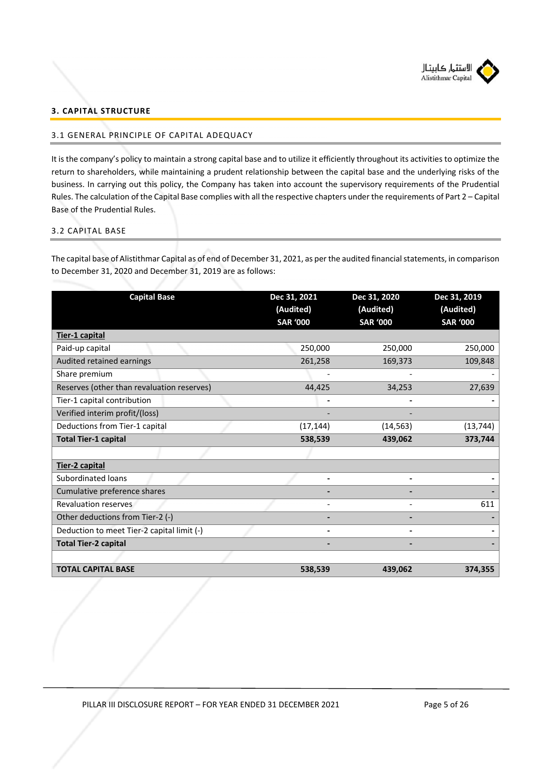

# **3. CAPITAL STRUCTURE**

## 3.1 GENERAL PRINCIPLE OF CAPITAL ADEQUACY

It is the company's policy to maintain a strong capital base and to utilize it efficiently throughout its activities to optimize the return to shareholders, while maintaining a prudent relationship between the capital base and the underlying risks of the business. In carrying out this policy, the Company has taken into account the supervisory requirements of the Prudential Rules. The calculation of the Capital Base complies with all the respective chapters under the requirements of Part 2 – Capital Base of the Prudential Rules.

# 3.2 CAPITAL BASE

The capital base of Alistithmar Capital as of end of December 31, 2021, as per the audited financial statements, in comparison to December 31, 2020 and December 31, 2019 are as follows:

| <b>Capital Base</b>                        | Dec 31, 2021<br>(Audited)<br><b>SAR '000</b> | Dec 31, 2020<br>(Audited)<br><b>SAR '000</b> | Dec 31, 2019<br>(Audited)<br><b>SAR '000</b> |
|--------------------------------------------|----------------------------------------------|----------------------------------------------|----------------------------------------------|
| Tier-1 capital                             |                                              |                                              |                                              |
| Paid-up capital                            | 250,000                                      | 250,000                                      | 250,000                                      |
| Audited retained earnings                  | 261,258                                      | 169,373                                      | 109,848                                      |
| Share premium                              |                                              |                                              |                                              |
| Reserves (other than revaluation reserves) | 44,425                                       | 34,253                                       | 27,639                                       |
| Tier-1 capital contribution                |                                              |                                              |                                              |
| Verified interim profit/(loss)             |                                              |                                              |                                              |
| Deductions from Tier-1 capital             | (17, 144)                                    | (14, 563)                                    | (13, 744)                                    |
| <b>Total Tier-1 capital</b>                | 538,539                                      | 439,062                                      | 373,744                                      |
|                                            |                                              |                                              |                                              |
| Tier-2 capital                             |                                              |                                              |                                              |
| Subordinated loans                         |                                              |                                              |                                              |
| Cumulative preference shares               |                                              |                                              |                                              |
| <b>Revaluation reserves</b>                |                                              |                                              | 611                                          |
| Other deductions from Tier-2 (-)           |                                              |                                              |                                              |
| Deduction to meet Tier-2 capital limit (-) |                                              |                                              |                                              |
| <b>Total Tier-2 capital</b>                |                                              |                                              |                                              |
| <b>TOTAL CAPITAL BASE</b>                  | 538,539                                      | 439,062                                      | 374,355                                      |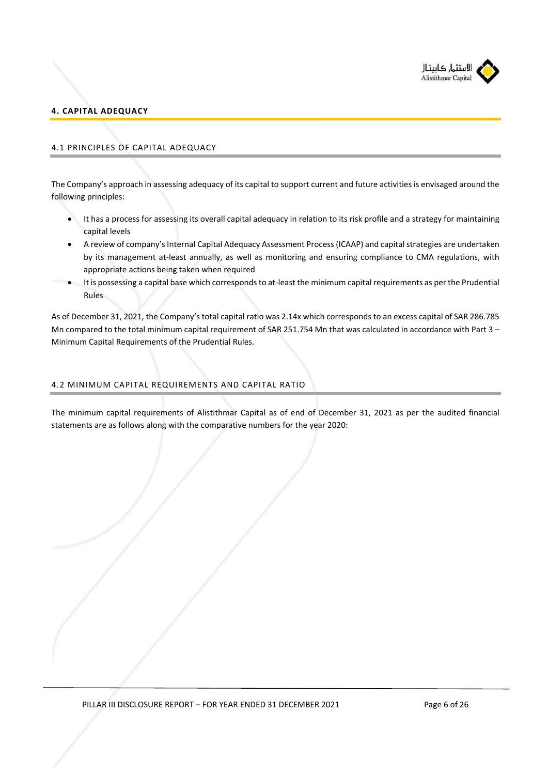

# **4. CAPITAL ADEQUACY**

# 4.1 PRINCIPLES OF CAPITAL ADEQUACY

The Company's approach in assessing adequacy of its capital to support current and future activities is envisaged around the following principles:

- It has a process for assessing its overall capital adequacy in relation to its risk profile and a strategy for maintaining capital levels
- A review of company's Internal Capital Adequacy Assessment Process (ICAAP) and capital strategies are undertaken by its management at-least annually, as well as monitoring and ensuring compliance to CMA regulations, with appropriate actions being taken when required
- It is possessing a capital base which corresponds to at‐least the minimum capital requirements as per the Prudential Rules

As of December 31, 2021, the Company's total capital ratio was 2.14x which corresponds to an excess capital of SAR 286.785 Mn compared to the total minimum capital requirement of SAR 251.754 Mn that was calculated in accordance with Part 3 – Minimum Capital Requirements of the Prudential Rules.

# 4.2 MINIMUM CAPITAL REQUIREMENTS AND CAPITAL RATIO

The minimum capital requirements of Alistithmar Capital as of end of December 31, 2021 as per the audited financial statements are as follows along with the comparative numbers for the year 2020: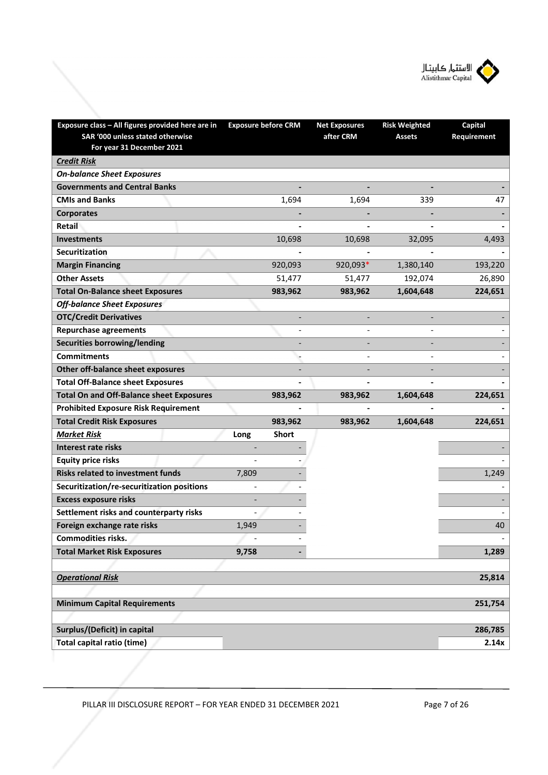

| Exposure class - All figures provided here are in<br>SAR '000 unless stated otherwise<br>For year 31 December 2021 | <b>Exposure before CRM</b> | <b>Net Exposures</b><br>after CRM | <b>Risk Weighted</b><br><b>Assets</b> | <b>Capital</b><br>Requirement |
|--------------------------------------------------------------------------------------------------------------------|----------------------------|-----------------------------------|---------------------------------------|-------------------------------|
| <b>Credit Risk</b>                                                                                                 |                            |                                   |                                       |                               |
| <b>On-balance Sheet Exposures</b>                                                                                  |                            |                                   |                                       |                               |
| <b>Governments and Central Banks</b>                                                                               |                            |                                   |                                       |                               |
| <b>CMIs and Banks</b>                                                                                              | 1,694                      | 1,694                             | 339                                   | 47                            |
| <b>Corporates</b>                                                                                                  |                            |                                   |                                       |                               |
| Retail                                                                                                             |                            |                                   |                                       |                               |
| <b>Investments</b>                                                                                                 | 10,698                     | 10,698                            | 32,095                                | 4,493                         |
| Securitization                                                                                                     |                            |                                   |                                       |                               |
| <b>Margin Financing</b>                                                                                            | 920,093                    | 920,093*                          | 1,380,140                             | 193,220                       |
| <b>Other Assets</b>                                                                                                | 51,477                     | 51,477                            | 192,074                               | 26,890                        |
| <b>Total On-Balance sheet Exposures</b>                                                                            | 983,962                    | 983,962                           | 1,604,648                             | 224,651                       |
| <b>Off-balance Sheet Exposures</b>                                                                                 |                            |                                   |                                       |                               |
| <b>OTC/Credit Derivatives</b>                                                                                      |                            |                                   |                                       |                               |
| <b>Repurchase agreements</b>                                                                                       |                            |                                   |                                       |                               |
| <b>Securities borrowing/lending</b>                                                                                |                            |                                   |                                       |                               |
| <b>Commitments</b>                                                                                                 |                            |                                   |                                       |                               |
| Other off-balance sheet exposures                                                                                  |                            |                                   |                                       |                               |
| <b>Total Off-Balance sheet Exposures</b>                                                                           |                            |                                   |                                       |                               |
| <b>Total On and Off-Balance sheet Exposures</b>                                                                    | 983,962                    | 983,962                           | 1,604,648                             | 224,651                       |
| <b>Prohibited Exposure Risk Requirement</b>                                                                        |                            |                                   |                                       |                               |
| <b>Total Credit Risk Exposures</b>                                                                                 | 983,962                    | 983,962                           | 1,604,648                             | 224,651                       |
| <b>Market Risk</b>                                                                                                 | <b>Short</b><br>Long       |                                   |                                       |                               |
| Interest rate risks                                                                                                |                            |                                   |                                       |                               |
| <b>Equity price risks</b>                                                                                          |                            |                                   |                                       |                               |
| <b>Risks related to investment funds</b>                                                                           | 7,809                      |                                   |                                       | 1,249                         |
| Securitization/re-securitization positions                                                                         |                            |                                   |                                       |                               |
| <b>Excess exposure risks</b>                                                                                       |                            |                                   |                                       |                               |
| Settlement risks and counterparty risks                                                                            |                            |                                   |                                       |                               |
| Foreign exchange rate risks                                                                                        | 1,949                      |                                   |                                       | 40                            |
| Commodities risks.                                                                                                 |                            |                                   |                                       |                               |
| <b>Total Market Risk Exposures</b>                                                                                 | 9,758                      |                                   |                                       | 1,289                         |
|                                                                                                                    |                            |                                   |                                       |                               |
| <b>Operational Risk</b>                                                                                            |                            |                                   |                                       | 25,814                        |
|                                                                                                                    |                            |                                   |                                       |                               |
| <b>Minimum Capital Requirements</b>                                                                                |                            |                                   |                                       | 251,754                       |
|                                                                                                                    |                            |                                   |                                       |                               |
| Surplus/(Deficit) in capital                                                                                       |                            |                                   |                                       | 286,785                       |
| <b>Total capital ratio (time)</b>                                                                                  |                            |                                   |                                       | 2.14x                         |
|                                                                                                                    |                            |                                   |                                       |                               |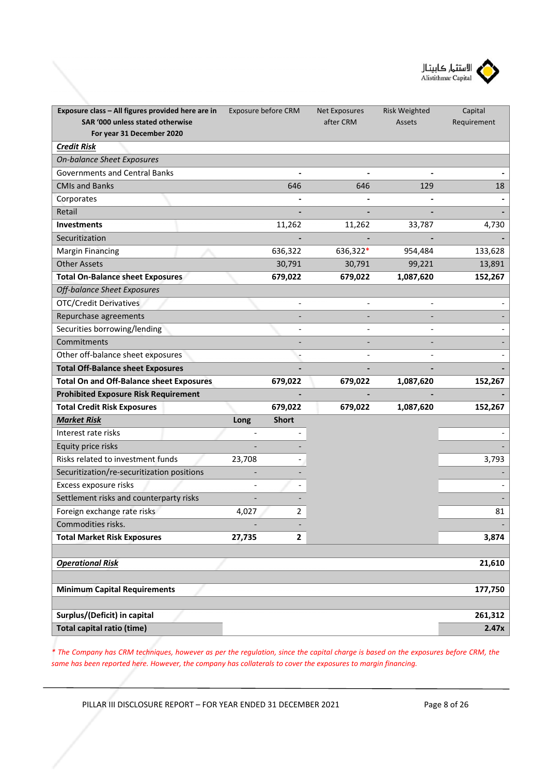

| Exposure class - All figures provided here are in<br>SAR '000 unless stated otherwise | Exposure before CRM |                | <b>Net Exposures</b><br>after CRM | <b>Risk Weighted</b> | Capital     |
|---------------------------------------------------------------------------------------|---------------------|----------------|-----------------------------------|----------------------|-------------|
| For year 31 December 2020                                                             |                     |                |                                   | Assets               | Requirement |
| <b>Credit Risk</b>                                                                    |                     |                |                                   |                      |             |
| <b>On-balance Sheet Exposures</b>                                                     |                     |                |                                   |                      |             |
| <b>Governments and Central Banks</b>                                                  |                     |                |                                   |                      |             |
| <b>CMIs and Banks</b>                                                                 |                     | 646            | 646                               | 129                  | 18          |
| Corporates                                                                            |                     |                |                                   |                      |             |
| Retail                                                                                |                     |                |                                   |                      |             |
| <b>Investments</b>                                                                    |                     | 11,262         | 11,262                            | 33,787               | 4,730       |
| Securitization                                                                        |                     |                |                                   |                      |             |
| <b>Margin Financing</b>                                                               |                     | 636,322        | 636,322*                          | 954,484              | 133,628     |
| <b>Other Assets</b>                                                                   |                     | 30,791         | 30,791                            | 99,221               | 13,891      |
| <b>Total On-Balance sheet Exposures</b>                                               |                     | 679,022        | 679,022                           | 1,087,620            | 152,267     |
| <b>Off-balance Sheet Exposures</b>                                                    |                     |                |                                   |                      |             |
| <b>OTC/Credit Derivatives</b>                                                         |                     |                |                                   |                      |             |
| Repurchase agreements                                                                 |                     |                |                                   |                      |             |
| Securities borrowing/lending                                                          |                     |                |                                   |                      |             |
| Commitments                                                                           |                     |                |                                   |                      |             |
| Other off-balance sheet exposures                                                     |                     |                |                                   |                      |             |
| <b>Total Off-Balance sheet Exposures</b>                                              |                     |                |                                   |                      |             |
| <b>Total On and Off-Balance sheet Exposures</b>                                       |                     | 679,022        | 679,022                           | 1,087,620            | 152,267     |
| <b>Prohibited Exposure Risk Requirement</b>                                           |                     |                |                                   |                      |             |
| <b>Total Credit Risk Exposures</b>                                                    |                     | 679,022        | 679,022                           | 1,087,620            | 152,267     |
| <b>Market Risk</b>                                                                    | Long                | <b>Short</b>   |                                   |                      |             |
| Interest rate risks                                                                   |                     |                |                                   |                      |             |
| Equity price risks                                                                    |                     |                |                                   |                      |             |
| Risks related to investment funds                                                     | 23,708              |                |                                   |                      | 3,793       |
| Securitization/re-securitization positions                                            |                     |                |                                   |                      |             |
| Excess exposure risks                                                                 |                     |                |                                   |                      |             |
| Settlement risks and counterparty risks                                               |                     |                |                                   |                      |             |
| Foreign exchange rate risks                                                           | 4,027               | $\overline{2}$ |                                   |                      | 81          |
| Commodities risks.                                                                    |                     |                |                                   |                      |             |
| <b>Total Market Risk Exposures</b>                                                    | 27,735              | $\mathbf{2}$   |                                   |                      | 3,874       |
|                                                                                       |                     |                |                                   |                      |             |
| <b>Operational Risk</b>                                                               |                     |                |                                   |                      | 21,610      |
|                                                                                       |                     |                |                                   |                      |             |
| <b>Minimum Capital Requirements</b>                                                   |                     |                |                                   |                      | 177,750     |
|                                                                                       |                     |                |                                   |                      |             |
| Surplus/(Deficit) in capital                                                          |                     |                |                                   |                      | 261,312     |
| <b>Total capital ratio (time)</b>                                                     |                     |                |                                   |                      | 2.47x       |

*\* The Company has CRM techniques, however as per the regulation, since the capital charge is based on the exposures before CRM, the same has been reported here. However, the company has collaterals to cover the exposures to margin financing.* 

PILLAR III DISCLOSURE REPORT - FOR YEAR ENDED 31 DECEMBER 2021 Page 8 of 26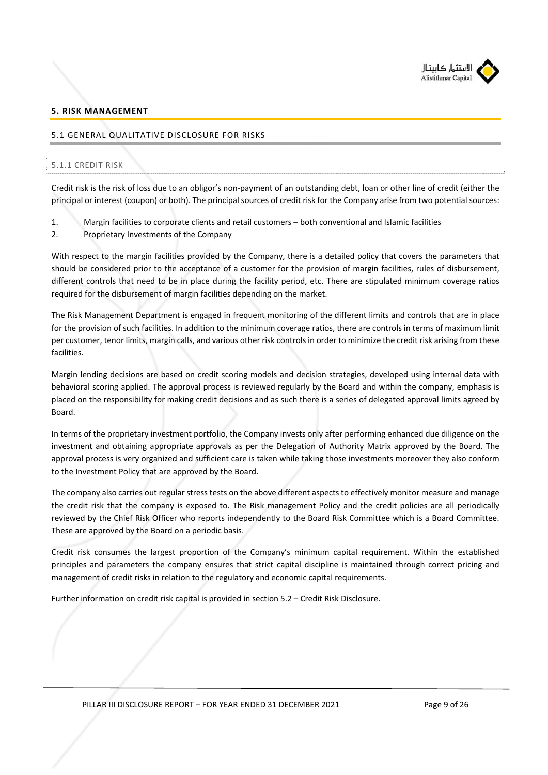

## **5. RISK MANAGEMENT**

## 5.1 GENERAL QUALITATIVE DISCLOSURE FOR RISKS

#### 5.1.1 CREDIT RISK

Credit risk is the risk of loss due to an obligor's non‐payment of an outstanding debt, loan or other line of credit (either the principal or interest (coupon) or both). The principal sources of credit risk for the Company arise from two potential sources:

- 1. Margin facilities to corporate clients and retail customers both conventional and Islamic facilities
- 2. Proprietary Investments of the Company

With respect to the margin facilities provided by the Company, there is a detailed policy that covers the parameters that should be considered prior to the acceptance of a customer for the provision of margin facilities, rules of disbursement, different controls that need to be in place during the facility period, etc. There are stipulated minimum coverage ratios required for the disbursement of margin facilities depending on the market.

The Risk Management Department is engaged in frequent monitoring of the different limits and controls that are in place for the provision of such facilities. In addition to the minimum coverage ratios, there are controls in terms of maximum limit per customer, tenor limits, margin calls, and various other risk controls in order to minimize the credit risk arising from these facilities.

Margin lending decisions are based on credit scoring models and decision strategies, developed using internal data with behavioral scoring applied. The approval process is reviewed regularly by the Board and within the company, emphasis is placed on the responsibility for making credit decisions and as such there is a series of delegated approval limits agreed by Board.

In terms of the proprietary investment portfolio, the Company invests only after performing enhanced due diligence on the investment and obtaining appropriate approvals as per the Delegation of Authority Matrix approved by the Board. The approval process is very organized and sufficient care is taken while taking those investments moreover they also conform to the Investment Policy that are approved by the Board.

The company also carries out regular stress tests on the above different aspects to effectively monitor measure and manage the credit risk that the company is exposed to. The Risk management Policy and the credit policies are all periodically reviewed by the Chief Risk Officer who reports independently to the Board Risk Committee which is a Board Committee. These are approved by the Board on a periodic basis.

Credit risk consumes the largest proportion of the Company's minimum capital requirement. Within the established principles and parameters the company ensures that strict capital discipline is maintained through correct pricing and management of credit risks in relation to the regulatory and economic capital requirements.

Further information on credit risk capital is provided in section 5.2 – Credit Risk Disclosure.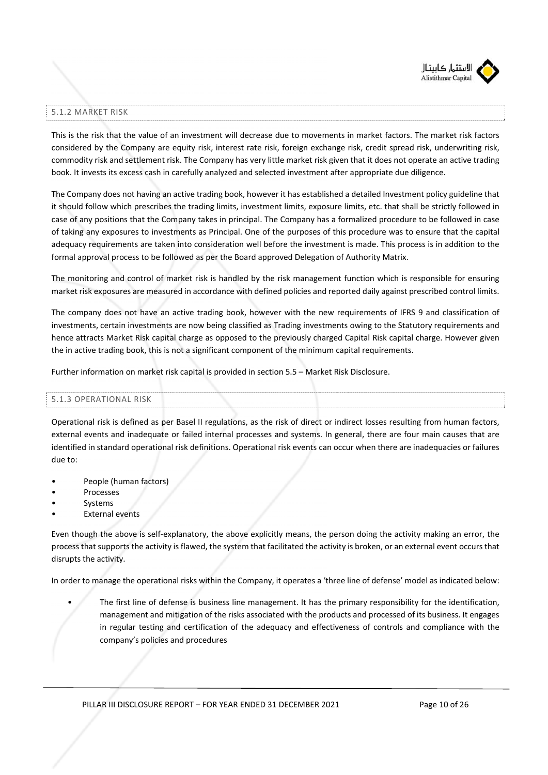

# 5.1.2 MARKET RISK

This is the risk that the value of an investment will decrease due to movements in market factors. The market risk factors considered by the Company are equity risk, interest rate risk, foreign exchange risk, credit spread risk, underwriting risk, commodity risk and settlement risk. The Company has very little market risk given that it does not operate an active trading book. It invests its excess cash in carefully analyzed and selected investment after appropriate due diligence.

The Company does not having an active trading book, however it has established a detailed Investment policy guideline that it should follow which prescribes the trading limits, investment limits, exposure limits, etc. that shall be strictly followed in case of any positions that the Company takes in principal. The Company has a formalized procedure to be followed in case of taking any exposures to investments as Principal. One of the purposes of this procedure was to ensure that the capital adequacy requirements are taken into consideration well before the investment is made. This process is in addition to the formal approval process to be followed as per the Board approved Delegation of Authority Matrix.

The monitoring and control of market risk is handled by the risk management function which is responsible for ensuring market risk exposures are measured in accordance with defined policies and reported daily against prescribed control limits.

The company does not have an active trading book, however with the new requirements of IFRS 9 and classification of investments, certain investments are now being classified as Trading investments owing to the Statutory requirements and hence attracts Market Risk capital charge as opposed to the previously charged Capital Risk capital charge. However given the in active trading book, this is not a significant component of the minimum capital requirements.

Further information on market risk capital is provided in section 5.5 – Market Risk Disclosure.

#### 5.1.3 OPERATIONAL RISK

Operational risk is defined as per Basel II regulations, as the risk of direct or indirect losses resulting from human factors, external events and inadequate or failed internal processes and systems. In general, there are four main causes that are identified in standard operational risk definitions. Operational risk events can occur when there are inadequacies or failures due to:

- People (human factors)
- **Processes**
- **Systems**
- **External events**

Even though the above is self‐explanatory, the above explicitly means, the person doing the activity making an error, the process that supports the activity is flawed, the system that facilitated the activity is broken, or an external event occurs that disrupts the activity.

In order to manage the operational risks within the Company, it operates a 'three line of defense' model as indicated below:

• The first line of defense is business line management. It has the primary responsibility for the identification, management and mitigation of the risks associated with the products and processed of its business. It engages in regular testing and certification of the adequacy and effectiveness of controls and compliance with the company's policies and procedures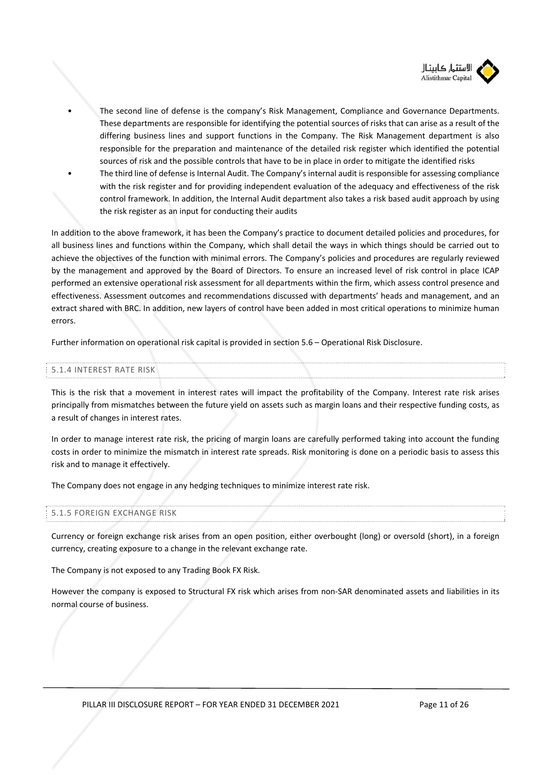

- The second line of defense is the company's Risk Management, Compliance and Governance Departments. These departments are responsible for identifying the potential sources of risks that can arise as a result of the differing business lines and support functions in the Company. The Risk Management department is also responsible for the preparation and maintenance of the detailed risk register which identified the potential sources of risk and the possible controls that have to be in place in order to mitigate the identified risks
- The third line of defense is Internal Audit. The Company's internal audit is responsible for assessing compliance with the risk register and for providing independent evaluation of the adequacy and effectiveness of the risk control framework. In addition, the Internal Audit department also takes a risk based audit approach by using the risk register as an input for conducting their audits

In addition to the above framework, it has been the Company's practice to document detailed policies and procedures, for all business lines and functions within the Company, which shall detail the ways in which things should be carried out to achieve the objectives of the function with minimal errors. The Company's policies and procedures are regularly reviewed by the management and approved by the Board of Directors. To ensure an increased level of risk control in place ICAP performed an extensive operational risk assessment for all departments within the firm, which assess control presence and effectiveness. Assessment outcomes and recommendations discussed with departments' heads and management, and an extract shared with BRC. In addition, new layers of control have been added in most critical operations to minimize human errors.

Further information on operational risk capital is provided in section 5.6 – Operational Risk Disclosure.

#### 5.1.4 INTEREST RATE RISK

This is the risk that a movement in interest rates will impact the profitability of the Company. Interest rate risk arises principally from mismatches between the future yield on assets such as margin loans and their respective funding costs, as a result of changes in interest rates.

In order to manage interest rate risk, the pricing of margin loans are carefully performed taking into account the funding costs in order to minimize the mismatch in interest rate spreads. Risk monitoring is done on a periodic basis to assess this risk and to manage it effectively.

The Company does not engage in any hedging techniques to minimize interest rate risk.

# 5.1.5 FOREIGN EXCHANGE RISK

Currency or foreign exchange risk arises from an open position, either overbought (long) or oversold (short), in a foreign currency, creating exposure to a change in the relevant exchange rate.

The Company is not exposed to any Trading Book FX Risk.

However the company is exposed to Structural FX risk which arises from non‐SAR denominated assets and liabilities in its normal course of business.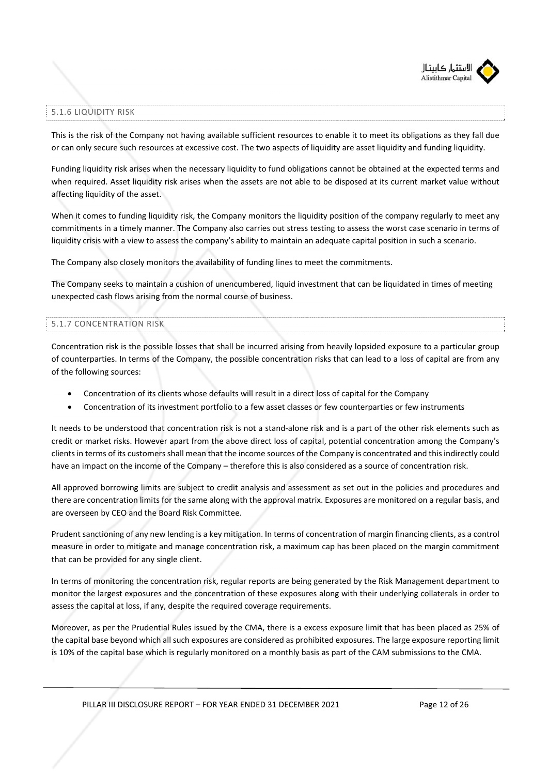

## 5.1.6 LIQUIDITY RISK

This is the risk of the Company not having available sufficient resources to enable it to meet its obligations as they fall due or can only secure such resources at excessive cost. The two aspects of liquidity are asset liquidity and funding liquidity.

Funding liquidity risk arises when the necessary liquidity to fund obligations cannot be obtained at the expected terms and when required. Asset liquidity risk arises when the assets are not able to be disposed at its current market value without affecting liquidity of the asset.

When it comes to funding liquidity risk, the Company monitors the liquidity position of the company regularly to meet any commitments in a timely manner. The Company also carries out stress testing to assess the worst case scenario in terms of liquidity crisis with a view to assess the company's ability to maintain an adequate capital position in such a scenario.

The Company also closely monitors the availability of funding lines to meet the commitments.

The Company seeks to maintain a cushion of unencumbered, liquid investment that can be liquidated in times of meeting unexpected cash flows arising from the normal course of business.

## 5.1.7 CONCENTRATION RISK

Concentration risk is the possible losses that shall be incurred arising from heavily lopsided exposure to a particular group of counterparties. In terms of the Company, the possible concentration risks that can lead to a loss of capital are from any of the following sources:

- Concentration of its clients whose defaults will result in a direct loss of capital for the Company
- Concentration of its investment portfolio to a few asset classes or few counterparties or few instruments

It needs to be understood that concentration risk is not a stand‐alone risk and is a part of the other risk elements such as credit or market risks. However apart from the above direct loss of capital, potential concentration among the Company's clients in terms of its customers shall mean that the income sources of the Company is concentrated and this indirectly could have an impact on the income of the Company – therefore this is also considered as a source of concentration risk.

All approved borrowing limits are subject to credit analysis and assessment as set out in the policies and procedures and there are concentration limits for the same along with the approval matrix. Exposures are monitored on a regular basis, and are overseen by CEO and the Board Risk Committee.

Prudent sanctioning of any new lending is a key mitigation. In terms of concentration of margin financing clients, as a control measure in order to mitigate and manage concentration risk, a maximum cap has been placed on the margin commitment that can be provided for any single client.

In terms of monitoring the concentration risk, regular reports are being generated by the Risk Management department to monitor the largest exposures and the concentration of these exposures along with their underlying collaterals in order to assess the capital at loss, if any, despite the required coverage requirements.

Moreover, as per the Prudential Rules issued by the CMA, there is a excess exposure limit that has been placed as 25% of the capital base beyond which all such exposures are considered as prohibited exposures. The large exposure reporting limit is 10% of the capital base which is regularly monitored on a monthly basis as part of the CAM submissions to the CMA.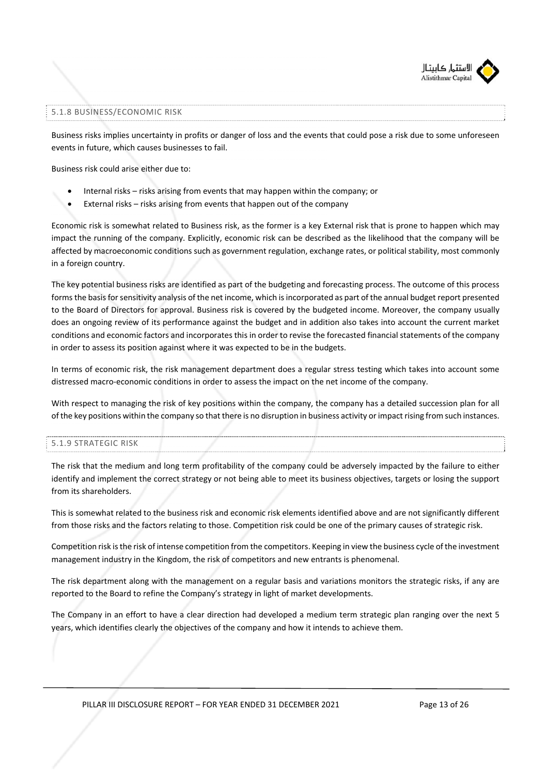

## 5.1.8 BUSINESS/ECONOMIC RISK

Business risks implies uncertainty in profits or danger of loss and the events that could pose a risk due to some unforeseen events in future, which causes businesses to fail.

Business risk could arise either due to:

- Internal risks risks arising from events that may happen within the company; or
- External risks risks arising from events that happen out of the company

Economic risk is somewhat related to Business risk, as the former is a key External risk that is prone to happen which may impact the running of the company. Explicitly, economic risk can be described as the likelihood that the company will be affected by macroeconomic conditions such as government regulation, exchange rates, or political stability, most commonly in a foreign country.

The key potential business risks are identified as part of the budgeting and forecasting process. The outcome of this process forms the basis for sensitivity analysis of the net income, which is incorporated as part of the annual budget report presented to the Board of Directors for approval. Business risk is covered by the budgeted income. Moreover, the company usually does an ongoing review of its performance against the budget and in addition also takes into account the current market conditions and economic factors and incorporates this in order to revise the forecasted financial statements of the company in order to assess its position against where it was expected to be in the budgets.

In terms of economic risk, the risk management department does a regular stress testing which takes into account some distressed macro‐economic conditions in order to assess the impact on the net income of the company.

With respect to managing the risk of key positions within the company, the company has a detailed succession plan for all of the key positions within the company so that there is no disruption in business activity or impact rising from such instances.

#### 5.1.9 STRATEGIC RISK

The risk that the medium and long term profitability of the company could be adversely impacted by the failure to either identify and implement the correct strategy or not being able to meet its business objectives, targets or losing the support from its shareholders.

This is somewhat related to the business risk and economic risk elements identified above and are not significantly different from those risks and the factors relating to those. Competition risk could be one of the primary causes of strategic risk.

Competition risk is the risk of intense competition from the competitors. Keeping in view the business cycle of the investment management industry in the Kingdom, the risk of competitors and new entrants is phenomenal.

The risk department along with the management on a regular basis and variations monitors the strategic risks, if any are reported to the Board to refine the Company's strategy in light of market developments.

The Company in an effort to have a clear direction had developed a medium term strategic plan ranging over the next 5 years, which identifies clearly the objectives of the company and how it intends to achieve them.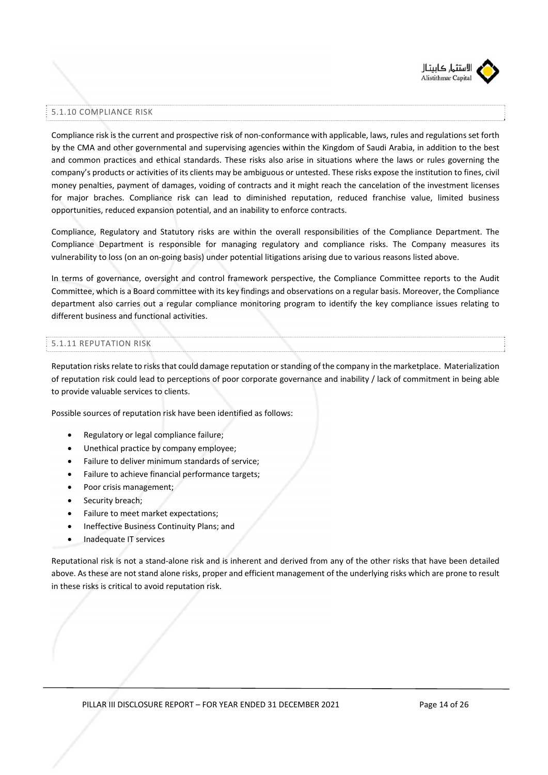

#### 5.1.10 COMPLIANCE RISK

Compliance risk is the current and prospective risk of non‐conformance with applicable, laws, rules and regulations set forth by the CMA and other governmental and supervising agencies within the Kingdom of Saudi Arabia, in addition to the best and common practices and ethical standards. These risks also arise in situations where the laws or rules governing the company's products or activities of its clients may be ambiguous or untested. These risks expose the institution to fines, civil money penalties, payment of damages, voiding of contracts and it might reach the cancelation of the investment licenses for major braches. Compliance risk can lead to diminished reputation, reduced franchise value, limited business opportunities, reduced expansion potential, and an inability to enforce contracts.

Compliance, Regulatory and Statutory risks are within the overall responsibilities of the Compliance Department. The Compliance Department is responsible for managing regulatory and compliance risks. The Company measures its vulnerability to loss (on an on‐going basis) under potential litigations arising due to various reasons listed above.

In terms of governance, oversight and control framework perspective, the Compliance Committee reports to the Audit Committee, which is a Board committee with its key findings and observations on a regular basis. Moreover, the Compliance department also carries out a regular compliance monitoring program to identify the key compliance issues relating to different business and functional activities.

## 5.1.11 REPUTATION RISK

Reputation risks relate to risks that could damage reputation or standing of the company in the marketplace. Materialization of reputation risk could lead to perceptions of poor corporate governance and inability / lack of commitment in being able to provide valuable services to clients.

Possible sources of reputation risk have been identified as follows:

- Regulatory or legal compliance failure;
- Unethical practice by company employee;
- Failure to deliver minimum standards of service;
- Failure to achieve financial performance targets;
- Poor crisis management;
- Security breach;
- Failure to meet market expectations;
- Ineffective Business Continuity Plans; and
- Inadequate IT services

Reputational risk is not a stand‐alone risk and is inherent and derived from any of the other risks that have been detailed above. As these are not stand alone risks, proper and efficient management of the underlying risks which are prone to result in these risks is critical to avoid reputation risk.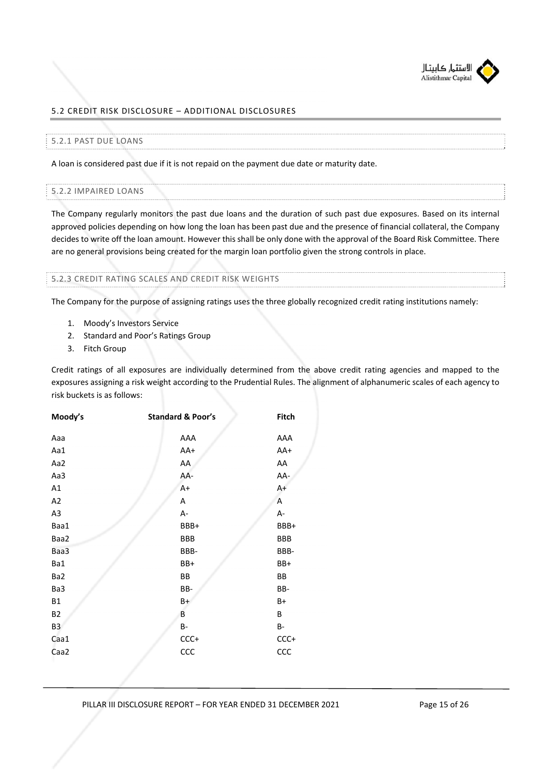

# 5.2 CREDIT RISK DISCLOSURE – ADDITIONAL DISCLOSURES

#### 5.2.1 PAST DUE LOANS

A loan is considered past due if it is not repaid on the payment due date or maturity date.

#### 5.2.2 IMPAIRED LOANS

The Company regularly monitors the past due loans and the duration of such past due exposures. Based on its internal approved policies depending on how long the loan has been past due and the presence of financial collateral, the Company decides to write off the loan amount. However this shall be only done with the approval of the Board Risk Committee. There are no general provisions being created for the margin loan portfolio given the strong controls in place.

#### 5.2.3 CREDIT RATING SCALES AND CREDIT RISK WEIGHTS

The Company for the purpose of assigning ratings uses the three globally recognized credit rating institutions namely:

- 1. Moody's Investors Service
- 2. Standard and Poor's Ratings Group
- 3. Fitch Group

Credit ratings of all exposures are individually determined from the above credit rating agencies and mapped to the exposures assigning a risk weight according to the Prudential Rules. The alignment of alphanumeric scales of each agency to risk buckets is as follows:

| Moody's        | <b>Standard &amp; Poor's</b> | Fitch     |
|----------------|------------------------------|-----------|
| Aaa            | AAA                          | AAA       |
| Aa1            | AA+                          | AA+       |
| Aa2            | AA                           | AA        |
| Aa3            | AA-                          | AA-       |
| A1             | $A+$                         | $A+$      |
| A <sub>2</sub> | Α                            | Α         |
| A3             | А-                           | A-        |
| Baa1           | BBB+                         | BBB+      |
| Baa2           | BBB                          | BBB       |
| Baa3           | BBB-                         | BBB-      |
| Ba1            | BB+                          | BB+       |
| Ba2            | BB                           | BB        |
| Ba3            | BB-                          | BB-       |
| <b>B1</b>      | B+                           | B+        |
| <b>B2</b>      | B                            | В         |
| B <sub>3</sub> | <b>B-</b>                    | <b>B-</b> |
| Caa1           | CCC+                         | $CCC +$   |
| Caa2           | CCC                          | CCC       |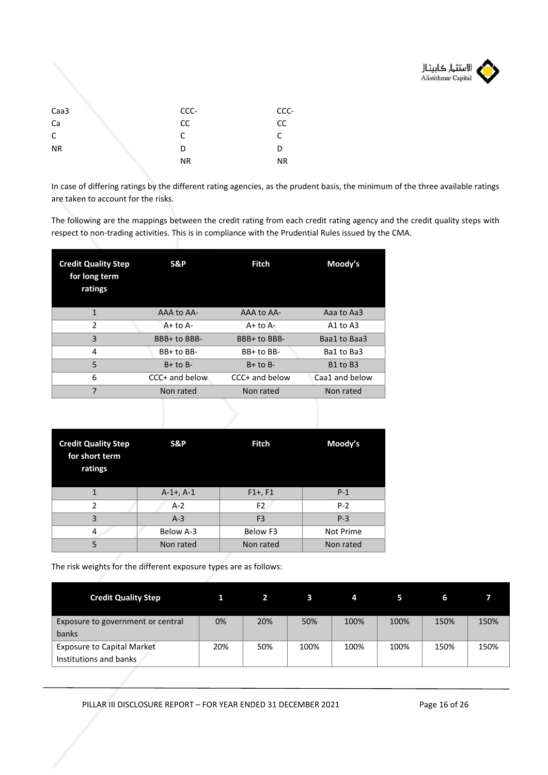

| Caa3      | CCC-      | CCC-      |
|-----------|-----------|-----------|
| Ca        | cc        | CC        |
| C         | C         | r         |
| <b>NR</b> | D         | D         |
|           | <b>NR</b> | <b>NR</b> |
|           |           |           |

In case of differing ratings by the different rating agencies, as the prudent basis, the minimum of the three available ratings are taken to account for the risks.

The following are the mappings between the credit rating from each credit rating agency and the credit quality steps with respect to non-trading activities. This is in compliance with the Prudential Rules issued by the CMA.

| <b>Credit Quality Step</b><br>for long term<br>ratings | S&P            | <b>Fitch</b>   | Moody's                          |  |  |
|--------------------------------------------------------|----------------|----------------|----------------------------------|--|--|
| 1                                                      | AAA to AA-     | AAA to AA-     | Aaa to Aa3                       |  |  |
| $\mathfrak{p}$                                         | $A+$ to $A-$   | $A+$ to $A-$   | $A1$ to $A3$                     |  |  |
| 3                                                      | BBB+ to BBB-   | BBB+ to BBB-   | Baa1 to Baa3                     |  |  |
| 4                                                      | BB+ to BB-     | BB+ to BB-     | Ba1 to Ba3                       |  |  |
| 5                                                      | $B+$ to $B-$   | $B+$ to $B-$   | B <sub>1</sub> to B <sub>3</sub> |  |  |
| 6                                                      | CCC+ and below | CCC+ and below | Caa1 and below                   |  |  |
| $\overline{7}$                                         | Non rated      | Non rated      | Non rated                        |  |  |
|                                                        |                |                |                                  |  |  |

| <b>Credit Quality Step</b><br>for short term<br>ratings | S&P            | <b>Fitch</b>   | Moody's   |  |
|---------------------------------------------------------|----------------|----------------|-----------|--|
|                                                         | $A-1+$ , $A-1$ | $F1+, F1$      | $P-1$     |  |
| C                                                       | $A-2$          | F <sub>2</sub> | $P-2$     |  |
| 3                                                       | $A-3$          | F <sub>3</sub> | $P-3$     |  |
| 4                                                       | Below A-3      | Below F3       | Not Prime |  |
| 5                                                       | Non rated      | Non rated      | Non rated |  |

The risk weights for the different exposure types are as follows:

| <b>Credit Quality Step</b>                                  |     |     | з    | 4    |      | ь    |      |
|-------------------------------------------------------------|-----|-----|------|------|------|------|------|
| Exposure to government or central<br>banks                  | 0%  | 20% | 50%  | 100% | 100% | 150% | 150% |
| <b>Exposure to Capital Market</b><br>Institutions and banks | 20% | 50% | 100% | 100% | 100% | 150% | 150% |

PILLAR III DISCLOSURE REPORT - FOR YEAR ENDED 31 DECEMBER 2021 Page 16 of 26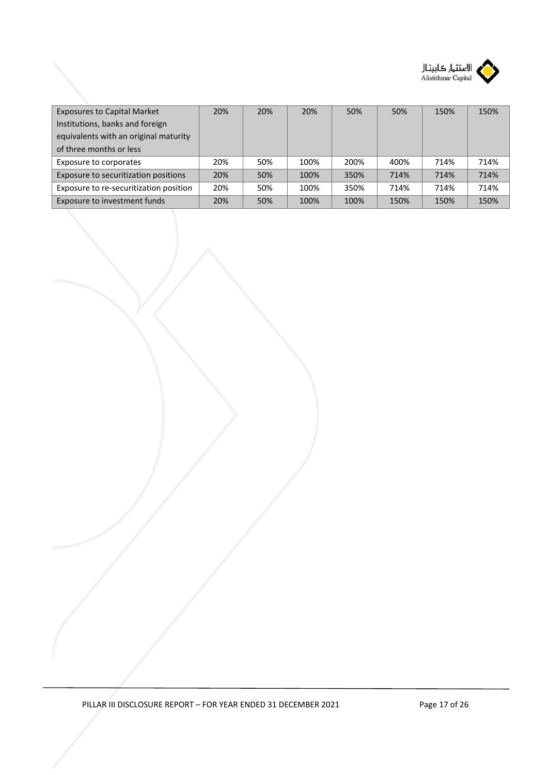

| <b>Exposures to Capital Market</b>     | 20% | 20% | 20%  | 50%  | 50%  | 150% | 150% |
|----------------------------------------|-----|-----|------|------|------|------|------|
| Institutions, banks and foreign        |     |     |      |      |      |      |      |
| equivalents with an original maturity  |     |     |      |      |      |      |      |
| of three months or less                |     |     |      |      |      |      |      |
| Exposure to corporates                 | 20% | 50% | 100% | 200% | 400% | 714% | 714% |
| Exposure to securitization positions   | 20% | 50% | 100% | 350% | 714% | 714% | 714% |
| Exposure to re-securitization position | 20% | 50% | 100% | 350% | 714% | 714% | 714% |
| Exposure to investment funds           | 20% | 50% | 100% | 100% | 150% | 150% | 150% |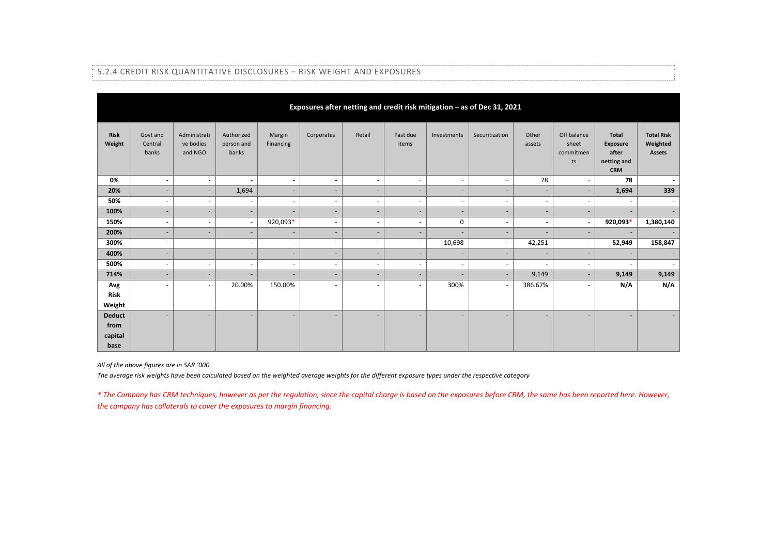| Exposures after netting and credit risk mitigation - as of Dec 31, 2021 |                              |                                      |                                   |                          |                          |                          |                          |                          |                          |                              |                                         |                                                                       |                                         |
|-------------------------------------------------------------------------|------------------------------|--------------------------------------|-----------------------------------|--------------------------|--------------------------|--------------------------|--------------------------|--------------------------|--------------------------|------------------------------|-----------------------------------------|-----------------------------------------------------------------------|-----------------------------------------|
| Risk<br>Weight                                                          | Govt and<br>Central<br>banks | Administrati<br>ve bodies<br>and NGO | Authorized<br>person and<br>banks | Margin<br>Financing      | Corporates               | Retail                   | Past due<br>items        | Investments              | Securitization           | Other<br>assets              | Off balance<br>sheet<br>commitmen<br>ts | <b>Total</b><br><b>Exposure</b><br>after<br>netting and<br><b>CRM</b> | <b>Total Risk</b><br>Weighted<br>Assets |
| 0%                                                                      | $\sim$                       | $\sim$                               | $\sim$                            | ٠                        | $\overline{\phantom{a}}$ | $\overline{\phantom{a}}$ | $\overline{\phantom{a}}$ | ٠                        | $\sim$                   | 78                           | $\overline{\phantom{a}}$                | 78                                                                    | ۰                                       |
| 20%                                                                     | $\overline{\phantom{a}}$     | $\overline{\phantom{a}}$             | 1,694                             | $\overline{\phantom{a}}$ | ٠                        | $\overline{\phantom{a}}$ | $\overline{\phantom{a}}$ | ٠                        | $\overline{\phantom{a}}$ | $\overline{\phantom{a}}$     | ٠                                       | 1,694                                                                 | 339                                     |
| 50%                                                                     | $\overline{\phantom{a}}$     | $\overline{\phantom{a}}$             | $\sim$                            | $\overline{\phantom{a}}$ | $\overline{\phantom{a}}$ | $\overline{\phantom{a}}$ | $\sim$                   | ٠                        | $\overline{\phantom{a}}$ | ٠                            | $\overline{\phantom{a}}$                | $\sim$                                                                | $\sim$                                  |
| 100%                                                                    | $\overline{\phantom{a}}$     | $\overline{\phantom{a}}$             | $\overline{\phantom{a}}$          | $\overline{\phantom{a}}$ | ٠                        | $\overline{\phantom{a}}$ | $\sim$                   | ٠                        | $\overline{\phantom{a}}$ | $\overline{\phantom{a}}$     | $\overline{\phantom{a}}$                | $\sim$                                                                | $\sim$                                  |
| 150%                                                                    | $\overline{\phantom{a}}$     | $\overline{\phantom{a}}$             | $\sim$                            | 920,093*                 | $\overline{\phantom{a}}$ | $\overline{\phantom{a}}$ | $\overline{\phantom{a}}$ | 0                        | $\overline{\phantom{a}}$ | ٠                            | $\overline{\phantom{a}}$                | 920,093*                                                              | 1,380,140                               |
| 200%                                                                    | $\overline{\phantom{a}}$     | $\overline{\phantom{a}}$             | ٠                                 | $\overline{\phantom{a}}$ | $\overline{\phantom{a}}$ | $\overline{\phantom{a}}$ | $\overline{\phantom{a}}$ | ٠                        | $\overline{\phantom{a}}$ | $\overline{\phantom{a}}$     | ٠                                       | $\sim$                                                                |                                         |
| 300%                                                                    | $\overline{\phantom{a}}$     | $\overline{\phantom{a}}$             | $\sim$                            | $\overline{\phantom{a}}$ | $\overline{\phantom{a}}$ | $\overline{\phantom{a}}$ | $\overline{\phantom{a}}$ | 10,698                   | $\overline{\phantom{a}}$ | 42,251                       | $\sim$                                  | 52,949                                                                | 158,847                                 |
| 400%                                                                    | $\overline{\phantom{a}}$     | $\overline{\phantom{a}}$             | $\overline{\phantom{a}}$          | $\overline{\phantom{a}}$ | ٠                        | $\overline{\phantom{a}}$ | $\overline{\phantom{a}}$ | ٠                        | $\overline{\phantom{a}}$ | $\overline{\phantom{a}}$     | $\overline{\phantom{a}}$                | $\sim$                                                                |                                         |
| 500%                                                                    | $\overline{\phantom{a}}$     | $\overline{\phantom{a}}$             | $\sim$                            | $\overline{\phantom{a}}$ | $\overline{\phantom{a}}$ | $\sim$                   | $\overline{\phantom{a}}$ | ٠                        | $\overline{\phantom{a}}$ | ٠                            | $\sim$                                  | $\overline{\phantom{a}}$                                              |                                         |
| 714%                                                                    | $\overline{\phantom{a}}$     | $\overline{\phantom{a}}$             | $\overline{\phantom{a}}$          | $\overline{\phantom{a}}$ | ٠                        | $\overline{\phantom{a}}$ | $\overline{\phantom{a}}$ | ٠                        | $\overline{\phantom{a}}$ | 9,149                        |                                         | 9,149                                                                 | 9,149                                   |
| Avg                                                                     | $\overline{\phantom{a}}$     | $\overline{\phantom{a}}$             | 20.00%                            | 150.00%                  | $\overline{\phantom{a}}$ | $\overline{\phantom{a}}$ | $\overline{\phantom{a}}$ | 300%                     | $\overline{\phantom{a}}$ | 386.67%                      | $\overline{\phantom{a}}$                | N/A                                                                   | N/A                                     |
| Risk                                                                    |                              |                                      |                                   |                          |                          |                          |                          |                          |                          |                              |                                         |                                                                       |                                         |
| Weight                                                                  |                              |                                      |                                   |                          |                          |                          |                          |                          |                          |                              |                                         |                                                                       |                                         |
| <b>Deduct</b>                                                           | $\overline{\phantom{a}}$     | $\overline{\phantom{a}}$             | Ξ.                                | $\overline{\phantom{a}}$ | $\overline{\phantom{a}}$ | $\overline{\phantom{a}}$ | $\overline{\phantom{a}}$ | $\overline{\phantom{a}}$ | $\overline{\phantom{a}}$ | $\qquad \qquad \blacksquare$ |                                         | $\overline{\phantom{a}}$                                              | $\blacksquare$                          |
| from                                                                    |                              |                                      |                                   |                          |                          |                          |                          |                          |                          |                              |                                         |                                                                       |                                         |
| capital                                                                 |                              |                                      |                                   |                          |                          |                          |                          |                          |                          |                              |                                         |                                                                       |                                         |
| base                                                                    |                              |                                      |                                   |                          |                          |                          |                          |                          |                          |                              |                                         |                                                                       |                                         |

#### 5.2.4 CREDIT RISK QUANTITATIVE DISCLOSURES – RISK WEIGHT AND EXPOSURES

*All of the above figures are in SAR '000* 

*The average risk weights have been calculated based on the weighted average weights for the different exposure types under the respective category* 

*\* The Company has CRM techniques, however as per the regulation, since the capital charge is based on the exposures before CRM, the same has been reported here. However, the company has collaterals to cover the exposures to margin financing.*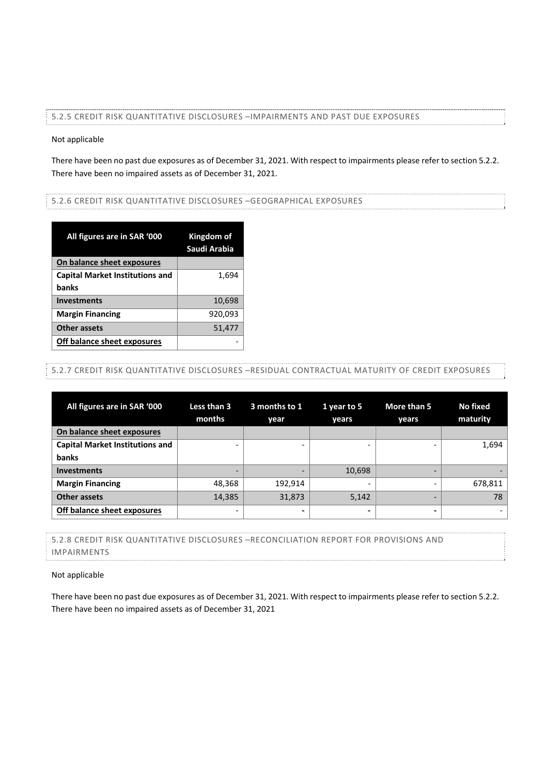#### 5.2.5 CREDIT RISK QUANTITATIVE DISCLOSURES –IMPAIRMENTS AND PAST DUE EXPOSURES

#### Not applicable

There have been no past due exposures as of December 31, 2021. With respect to impairments please refer to section 5.2.2. There have been no impaired assets as of December 31, 2021.

#### 5.2.6 CREDIT RISK QUANTITATIVE DISCLOSURES –GEOGRAPHICAL EXPOSURES

| All figures are in SAR '000            | Kingdom of<br>Saudi Arabia |
|----------------------------------------|----------------------------|
| On balance sheet exposures             |                            |
| <b>Capital Market Institutions and</b> | 1,694                      |
| banks                                  |                            |
| <b>Investments</b>                     | 10,698                     |
| <b>Margin Financing</b>                | 920,093                    |
| <b>Other assets</b>                    | 51,477                     |
| Off balance sheet exposures            |                            |

# 5.2.7 CREDIT RISK QUANTITATIVE DISCLOSURES –RESIDUAL CONTRACTUAL MATURITY OF CREDIT EXPOSURES

| All figures are in SAR '000            | Less than 3<br>months    | 3 months to 1<br>year | 1 year to 5<br>vears     | More than 5<br>years | No fixed<br>maturity |
|----------------------------------------|--------------------------|-----------------------|--------------------------|----------------------|----------------------|
| On balance sheet exposures             |                          |                       |                          |                      |                      |
| <b>Capital Market Institutions and</b> |                          |                       |                          |                      | 1,694                |
| banks                                  |                          |                       |                          |                      |                      |
| <b>Investments</b>                     | $\overline{\phantom{0}}$ |                       | 10,698                   | -                    |                      |
| <b>Margin Financing</b>                | 48,368                   | 192.914               |                          |                      | 678,811              |
| <b>Other assets</b>                    | 14,385                   | 31,873                | 5,142                    | -                    | 78                   |
| Off balance sheet exposures            | $\overline{\phantom{0}}$ |                       | $\overline{\phantom{0}}$ | -                    |                      |

# 5.2.8 CREDIT RISK QUANTITATIVE DISCLOSURES –RECONCILIATION REPORT FOR PROVISIONS AND IMPAIRMENTS

#### Not applicable

There have been no past due exposures as of December 31, 2021. With respect to impairments please refer to section 5.2.2. There have been no impaired assets as of December 31, 2021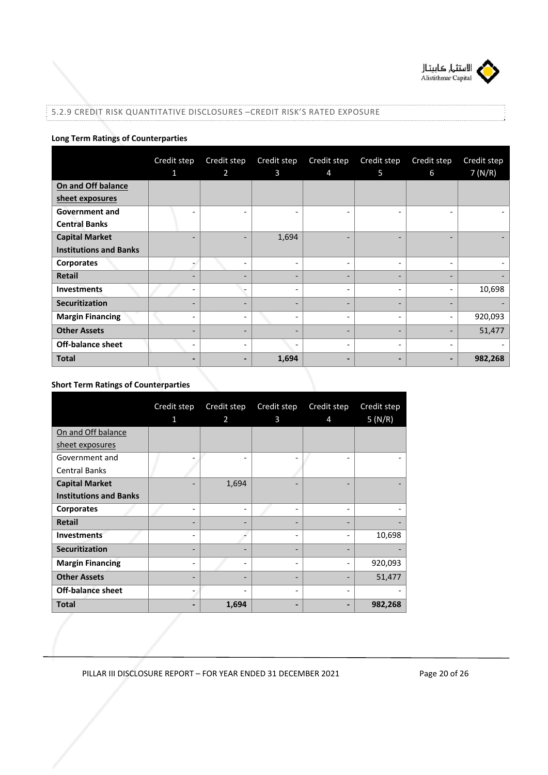

# 5.2.9 CREDIT RISK QUANTITATIVE DISCLOSURES –CREDIT RISK'S RATED EXPOSURE

# **Long Term Ratings of Counterparties**

|                               | Credit step              | Credit step    | Credit step                  | Credit step                  | Credit step              | Credit step              | Credit step |
|-------------------------------|--------------------------|----------------|------------------------------|------------------------------|--------------------------|--------------------------|-------------|
|                               | 1                        | $\overline{2}$ | 3                            | $\overline{4}$               | 5                        | 6                        | 7(N/R)      |
| On and Off balance            |                          |                |                              |                              |                          |                          |             |
| sheet exposures               |                          |                |                              |                              |                          |                          |             |
| <b>Government and</b>         | $\overline{\phantom{0}}$ |                | $\qquad \qquad \blacksquare$ | $\qquad \qquad \blacksquare$ | -                        | $\overline{a}$           |             |
| <b>Central Banks</b>          |                          |                |                              |                              |                          |                          |             |
| <b>Capital Market</b>         | $\overline{\phantom{0}}$ |                | 1,694                        | $\overline{\phantom{0}}$     | $\overline{\phantom{0}}$ | $\overline{\phantom{0}}$ |             |
| <b>Institutions and Banks</b> |                          |                |                              |                              |                          |                          |             |
| <b>Corporates</b>             |                          | -              | $\overline{\phantom{a}}$     | $\qquad \qquad \blacksquare$ | -                        | $\overline{\phantom{a}}$ |             |
| <b>Retail</b>                 | $\overline{\phantom{a}}$ | -              | $\overline{\phantom{0}}$     | $\overline{\phantom{a}}$     | $\overline{\phantom{0}}$ | $\overline{\phantom{a}}$ |             |
| <b>Investments</b>            |                          |                | $\overline{a}$               | $\qquad \qquad \blacksquare$ | -                        | $\overline{a}$           | 10,698      |
| Securitization                | $\overline{\phantom{0}}$ | -              | $\overline{\phantom{0}}$     | $\overline{\phantom{a}}$     | -                        | $\overline{\phantom{0}}$ |             |
| <b>Margin Financing</b>       | $\overline{\phantom{0}}$ | -              | $\overline{\phantom{0}}$     | -                            | -                        | $\overline{\phantom{a}}$ | 920,093     |
| <b>Other Assets</b>           | $\overline{\phantom{a}}$ | -              | -                            | $\overline{\phantom{a}}$     | -                        | $\overline{\phantom{a}}$ | 51,477      |
| <b>Off-balance sheet</b>      | $\overline{\phantom{a}}$ |                | $\overline{\phantom{a}}$     | $\overline{\phantom{a}}$     | -                        |                          |             |
| <b>Total</b>                  | $\hbox{\small -}$        | -              | 1,694                        | $\blacksquare$               | -                        | $\overline{\phantom{a}}$ | 982,268     |

# **Short Term Ratings of Counterparties**

|                               | Credit step | Credit step | Credit step | Credit step              | Credit step |
|-------------------------------|-------------|-------------|-------------|--------------------------|-------------|
|                               | 1           | 2           | 3           | 4                        | 5(N/R)      |
| On and Off balance            |             |             |             |                          |             |
| sheet exposures               |             |             |             |                          |             |
| Government and                |             |             |             |                          |             |
| <b>Central Banks</b>          |             |             |             |                          |             |
| <b>Capital Market</b>         |             | 1,694       |             |                          |             |
| <b>Institutions and Banks</b> |             |             |             |                          |             |
| <b>Corporates</b>             | -           |             |             | $\overline{\phantom{a}}$ |             |
| <b>Retail</b>                 | -           |             |             | $\qquad \qquad -$        |             |
| <b>Investments</b>            |             |             |             | $\overline{\phantom{0}}$ | 10,698      |
| Securitization                | -           |             |             |                          |             |
| <b>Margin Financing</b>       | -           |             |             | $\overline{\phantom{a}}$ | 920,093     |
| <b>Other Assets</b>           |             |             |             |                          | 51,477      |
| <b>Off-balance sheet</b>      | -           |             |             | $\overline{\phantom{a}}$ |             |
| <b>Total</b>                  |             | 1,694       |             |                          | 982,268     |

PILLAR III DISCLOSURE REPORT - FOR YEAR ENDED 31 DECEMBER 2021 Page 20 of 26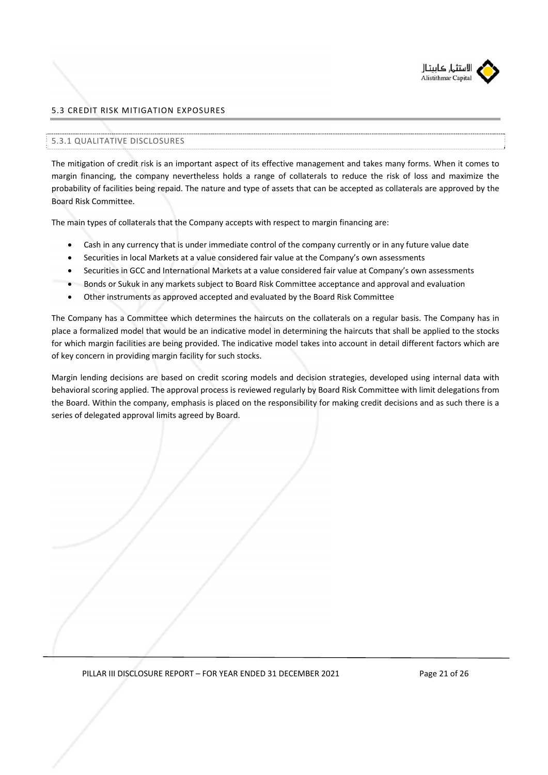

# 5.3 CREDIT RISK MITIGATION EXPOSURES

#### 5.3.1 QUALITATIVE DISCLOSURES

The mitigation of credit risk is an important aspect of its effective management and takes many forms. When it comes to margin financing, the company nevertheless holds a range of collaterals to reduce the risk of loss and maximize the probability of facilities being repaid. The nature and type of assets that can be accepted as collaterals are approved by the Board Risk Committee.

The main types of collaterals that the Company accepts with respect to margin financing are:

- Cash in any currency that is under immediate control of the company currently or in any future value date
- Securities in local Markets at a value considered fair value at the Company's own assessments
- Securities in GCC and International Markets at a value considered fair value at Company's own assessments
- Bonds or Sukuk in any markets subject to Board Risk Committee acceptance and approval and evaluation
- Other instruments as approved accepted and evaluated by the Board Risk Committee

The Company has a Committee which determines the haircuts on the collaterals on a regular basis. The Company has in place a formalized model that would be an indicative model in determining the haircuts that shall be applied to the stocks for which margin facilities are being provided. The indicative model takes into account in detail different factors which are of key concern in providing margin facility for such stocks.

Margin lending decisions are based on credit scoring models and decision strategies, developed using internal data with behavioral scoring applied. The approval process is reviewed regularly by Board Risk Committee with limit delegations from the Board. Within the company, emphasis is placed on the responsibility for making credit decisions and as such there is a series of delegated approval limits agreed by Board.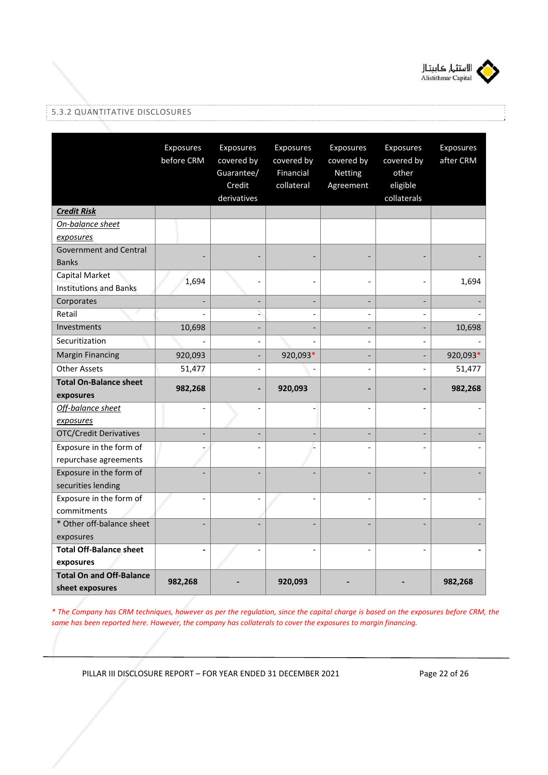

# 5.3.2 QUANTITATIVE DISCLOSURES

|                                                    | Exposures<br>before CRM      | Exposures<br>covered by<br>Guarantee/<br>Credit<br>derivatives | Exposures<br>covered by<br>Financial<br>collateral | Exposures<br>covered by<br>Netting<br>Agreement | Exposures<br>covered by<br>other<br>eligible<br>collaterals | Exposures<br>after CRM |
|----------------------------------------------------|------------------------------|----------------------------------------------------------------|----------------------------------------------------|-------------------------------------------------|-------------------------------------------------------------|------------------------|
| <b>Credit Risk</b>                                 |                              |                                                                |                                                    |                                                 |                                                             |                        |
| On-balance sheet                                   |                              |                                                                |                                                    |                                                 |                                                             |                        |
| exposures                                          |                              |                                                                |                                                    |                                                 |                                                             |                        |
| <b>Government and Central</b><br><b>Banks</b>      |                              |                                                                |                                                    |                                                 |                                                             |                        |
| Capital Market<br><b>Institutions and Banks</b>    | 1,694                        |                                                                |                                                    |                                                 |                                                             | 1,694                  |
| Corporates                                         |                              |                                                                |                                                    | $\overline{a}$                                  |                                                             |                        |
| Retail                                             |                              | $\overline{a}$                                                 |                                                    | $\overline{\phantom{a}}$                        |                                                             |                        |
| Investments                                        | 10,698                       |                                                                |                                                    | $\overline{a}$                                  | $\overline{\phantom{a}}$                                    | 10,698                 |
| Securitization                                     |                              |                                                                |                                                    | $\overline{a}$                                  |                                                             |                        |
| <b>Margin Financing</b>                            | 920,093                      |                                                                | 920,093*                                           | $\overline{a}$                                  |                                                             | 920,093*               |
| <b>Other Assets</b>                                | 51,477                       |                                                                |                                                    | $\overline{a}$                                  | $\overline{a}$                                              | 51,477                 |
| <b>Total On-Balance sheet</b><br>exposures         | 982,268                      |                                                                | 920,093                                            |                                                 |                                                             | 982,268                |
| Off-balance sheet                                  | $\overline{a}$               |                                                                |                                                    | $\overline{a}$                                  |                                                             |                        |
| exposures<br><b>OTC/Credit Derivatives</b>         | $\overline{\phantom{0}}$     |                                                                |                                                    | $\overline{a}$                                  | $\overline{a}$                                              |                        |
| Exposure in the form of                            |                              |                                                                |                                                    |                                                 |                                                             |                        |
| repurchase agreements                              |                              |                                                                |                                                    |                                                 |                                                             |                        |
| Exposure in the form of<br>securities lending      |                              |                                                                |                                                    |                                                 |                                                             |                        |
| Exposure in the form of<br>commitments             | $\qquad \qquad \blacksquare$ |                                                                |                                                    | $\overline{a}$                                  |                                                             |                        |
| * Other off-balance sheet<br>exposures             |                              |                                                                |                                                    |                                                 |                                                             |                        |
| <b>Total Off-Balance sheet</b><br>exposures        | $\qquad \qquad \blacksquare$ |                                                                |                                                    |                                                 |                                                             |                        |
| <b>Total On and Off-Balance</b><br>sheet exposures | 982,268                      |                                                                | 920,093                                            |                                                 |                                                             | 982,268                |

*\* The Company has CRM techniques, however as per the regulation, since the capital charge is based on the exposures before CRM, the same has been reported here. However, the company has collaterals to cover the exposures to margin financing.* 

PILLAR III DISCLOSURE REPORT - FOR YEAR ENDED 31 DECEMBER 2021 Page 22 of 26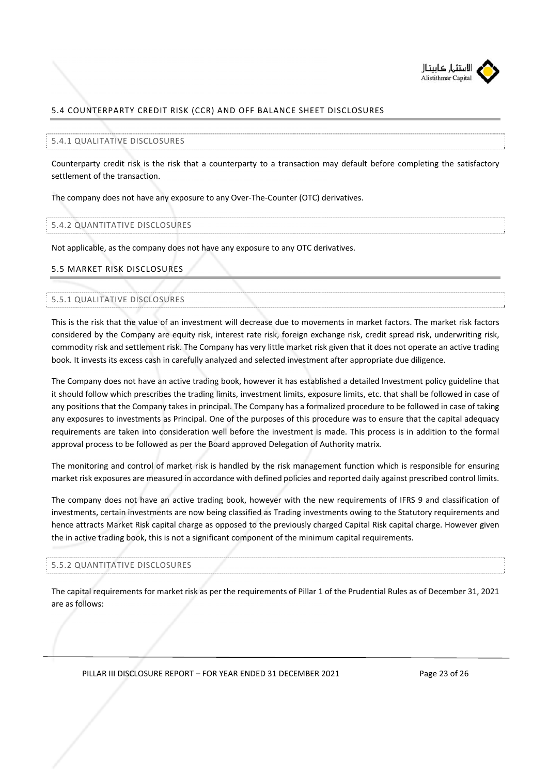

# 5.4 COUNTERPARTY CREDIT RISK (CCR) AND OFF BALANCE SHEET DISCLOSURES

#### 5.4.1 QUALITATIVE DISCLOSURES

Counterparty credit risk is the risk that a counterparty to a transaction may default before completing the satisfactory settlement of the transaction.

The company does not have any exposure to any Over‐The‐Counter (OTC) derivatives.

#### 5.4.2 QUANTITATIVE DISCLOSURES

Not applicable, as the company does not have any exposure to any OTC derivatives.

#### 5.5 MARKET RISK DISCLOSURES

#### 5.5.1 QUALITATIVE DISCLOSURES

This is the risk that the value of an investment will decrease due to movements in market factors. The market risk factors considered by the Company are equity risk, interest rate risk, foreign exchange risk, credit spread risk, underwriting risk, commodity risk and settlement risk. The Company has very little market risk given that it does not operate an active trading book. It invests its excess cash in carefully analyzed and selected investment after appropriate due diligence.

The Company does not have an active trading book, however it has established a detailed Investment policy guideline that it should follow which prescribes the trading limits, investment limits, exposure limits, etc. that shall be followed in case of any positions that the Company takes in principal. The Company has a formalized procedure to be followed in case of taking any exposures to investments as Principal. One of the purposes of this procedure was to ensure that the capital adequacy requirements are taken into consideration well before the investment is made. This process is in addition to the formal approval process to be followed as per the Board approved Delegation of Authority matrix.

The monitoring and control of market risk is handled by the risk management function which is responsible for ensuring market risk exposures are measured in accordance with defined policies and reported daily against prescribed control limits.

The company does not have an active trading book, however with the new requirements of IFRS 9 and classification of investments, certain investments are now being classified as Trading investments owing to the Statutory requirements and hence attracts Market Risk capital charge as opposed to the previously charged Capital Risk capital charge. However given the in active trading book, this is not a significant component of the minimum capital requirements.

#### 5.5.2 QUANTITATIVE DISCLOSURES

The capital requirements for market risk as per the requirements of Pillar 1 of the Prudential Rules as of December 31, 2021 are as follows:

PILLAR III DISCLOSURE REPORT - FOR YEAR ENDED 31 DECEMBER 2021 Page 23 of 26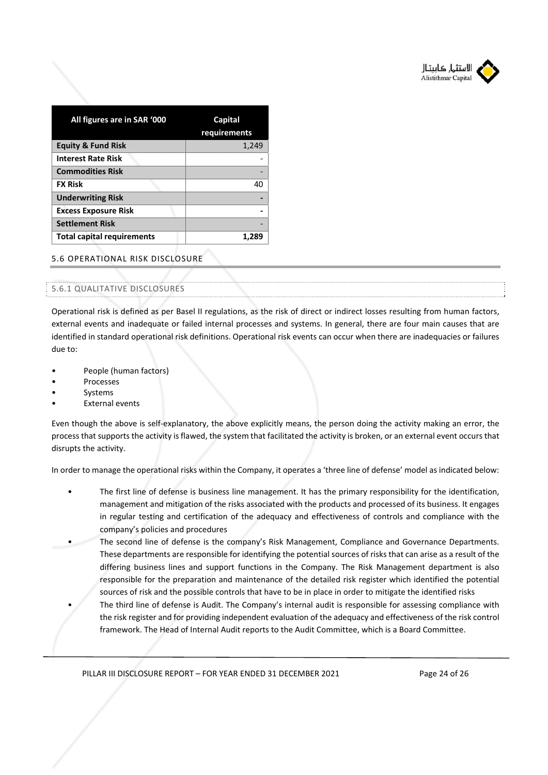

| All figures are in SAR '000       | Capital<br>requirements |
|-----------------------------------|-------------------------|
| <b>Equity &amp; Fund Risk</b>     | 1,249                   |
| <b>Interest Rate Risk</b>         |                         |
| <b>Commodities Risk</b>           |                         |
| <b>FX Risk</b>                    | 40                      |
| <b>Underwriting Risk</b>          |                         |
| <b>Excess Exposure Risk</b>       |                         |
| <b>Settlement Risk</b>            |                         |
| <b>Total capital requirements</b> |                         |

# 5.6 OPERATIONAL RISK DISCLOSURE

#### 5.6.1 QUALITATIVE DISCLOSURES

Operational risk is defined as per Basel II regulations, as the risk of direct or indirect losses resulting from human factors, external events and inadequate or failed internal processes and systems. In general, there are four main causes that are identified in standard operational risk definitions. Operational risk events can occur when there are inadequacies or failures due to:

- People (human factors)
- Processes
- **Systems**
- **External events**

Even though the above is self‐explanatory, the above explicitly means, the person doing the activity making an error, the process that supports the activity is flawed, the system that facilitated the activity is broken, or an external event occurs that disrupts the activity.

In order to manage the operational risks within the Company, it operates a 'three line of defense' model as indicated below:

- The first line of defense is business line management. It has the primary responsibility for the identification, management and mitigation of the risks associated with the products and processed of its business. It engages in regular testing and certification of the adequacy and effectiveness of controls and compliance with the company's policies and procedures
- The second line of defense is the company's Risk Management, Compliance and Governance Departments. These departments are responsible for identifying the potential sources of risks that can arise as a result of the differing business lines and support functions in the Company. The Risk Management department is also responsible for the preparation and maintenance of the detailed risk register which identified the potential sources of risk and the possible controls that have to be in place in order to mitigate the identified risks
- The third line of defense is Audit. The Company's internal audit is responsible for assessing compliance with the risk register and for providing independent evaluation of the adequacy and effectiveness of the risk control framework. The Head of Internal Audit reports to the Audit Committee, which is a Board Committee.

PILLAR III DISCLOSURE REPORT - FOR YEAR ENDED 31 DECEMBER 2021 Page 24 of 26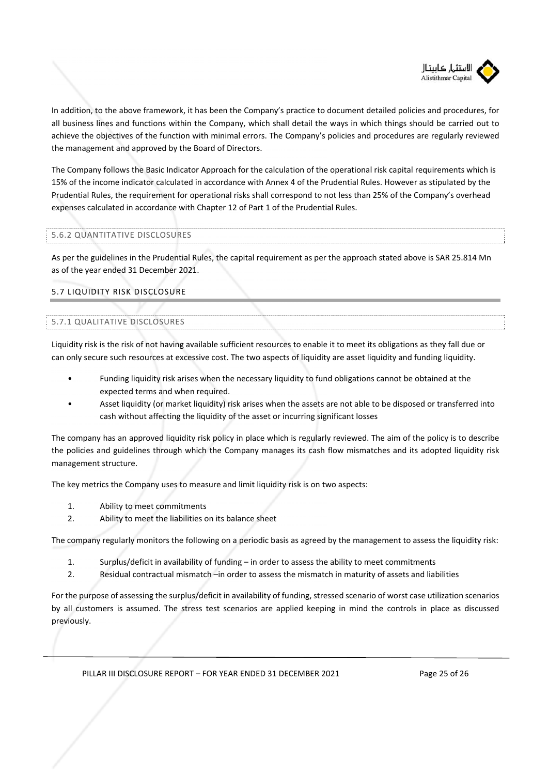

In addition, to the above framework, it has been the Company's practice to document detailed policies and procedures, for all business lines and functions within the Company, which shall detail the ways in which things should be carried out to achieve the objectives of the function with minimal errors. The Company's policies and procedures are regularly reviewed the management and approved by the Board of Directors.

The Company follows the Basic Indicator Approach for the calculation of the operational risk capital requirements which is 15% of the income indicator calculated in accordance with Annex 4 of the Prudential Rules. However as stipulated by the Prudential Rules, the requirement for operational risks shall correspond to not less than 25% of the Company's overhead expenses calculated in accordance with Chapter 12 of Part 1 of the Prudential Rules.

## 5.6.2 QUANTITATIVE DISCLOSURES

As per the guidelines in the Prudential Rules, the capital requirement as per the approach stated above is SAR 25.814 Mn as of the year ended 31 December 2021.

# 5.7 LIQUIDITY RISK DISCLOSURE

# 5.7.1 QUALITATIVE DISCLOSURES

Liquidity risk is the risk of not having available sufficient resources to enable it to meet its obligations as they fall due or can only secure such resources at excessive cost. The two aspects of liquidity are asset liquidity and funding liquidity.

- Funding liquidity risk arises when the necessary liquidity to fund obligations cannot be obtained at the expected terms and when required.
- Asset liquidity (or market liquidity) risk arises when the assets are not able to be disposed or transferred into cash without affecting the liquidity of the asset or incurring significant losses

The company has an approved liquidity risk policy in place which is regularly reviewed. The aim of the policy is to describe the policies and guidelines through which the Company manages its cash flow mismatches and its adopted liquidity risk management structure.

The key metrics the Company uses to measure and limit liquidity risk is on two aspects:

- 1. Ability to meet commitments
- 2. Ability to meet the liabilities on its balance sheet

The company regularly monitors the following on a periodic basis as agreed by the management to assess the liquidity risk:

- 1. Surplus/deficit in availability of funding in order to assess the ability to meet commitments
- 2. Residual contractual mismatch –in order to assess the mismatch in maturity of assets and liabilities

For the purpose of assessing the surplus/deficit in availability of funding, stressed scenario of worst case utilization scenarios by all customers is assumed. The stress test scenarios are applied keeping in mind the controls in place as discussed previously.

PILLAR III DISCLOSURE REPORT - FOR YEAR ENDED 31 DECEMBER 2021 Page 25 of 26